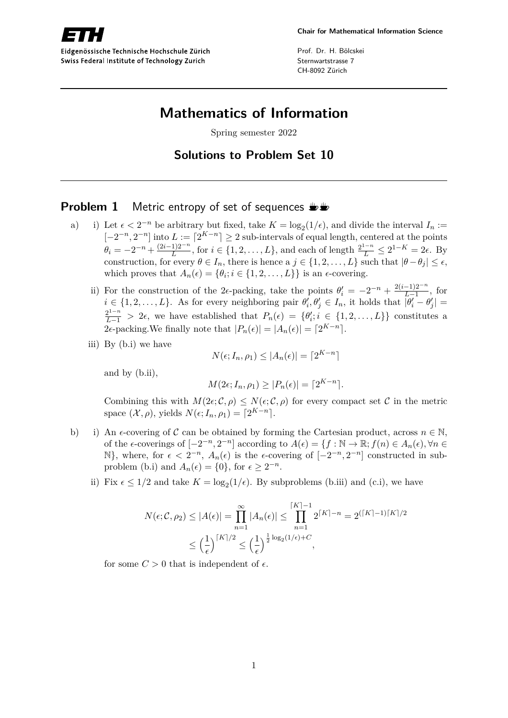

Eidgenössische Technische Hochschule Zürich Swiss Federal Institute of Technology Zurich

Prof. Dr. H. Bölcskei Sternwartstrasse 7 CH-8092 Zürich

# **Mathematics of Information**

Spring semester 2022

## **Solutions to Problem Set 10**

## **Problem 1** Metric entropy of set of sequences  $\mathbf{L}$

- a) i) Let  $\epsilon < 2^{-n}$  be arbitrary but fixed, take  $K = \log_2(1/\epsilon)$ , and divide the interval  $I_n :=$  $[-2^{-n}, 2^{-n}]$  into  $L := [2^{K-n}] \ge 2$  sub-intervals of equal length, centered at the points  $\theta_i = -2^{-n} + \frac{(2i-1)2^{-n}}{L}$  $\frac{12^{-n}}{L}$ , for *i* ∈ {1, 2, . . . , *L*}, and each of length  $\frac{2^{1-n}}{L}$  ≤ 2<sup>1−*K*</sup> = 2 $\epsilon$ . By construction, for every  $\theta \in I_n$ , there is hence a  $j \in \{1, 2, \ldots, L\}$  such that  $|\theta - \theta_j| \leq \epsilon$ , which proves that  $A_n(\epsilon) = \{\theta_i; i \in \{1, 2, ..., L\}\}\$ is an  $\epsilon$ -covering.
	- ii) For the construction of the 2 $\epsilon$ -packing, take the points  $\theta'_{i} = -2^{-n} + \frac{2(i-1)2^{-n}}{L-1}$  $\frac{-1}{L-1}$ , for  $i \in \{1, 2, \ldots, L\}$ . As for every neighboring pair  $\theta'_i, \theta'_j \in I_n$ , it holds that  $|\theta'_i - \theta'_j|$  $\frac{2^{1-n}}{L-1}$  > 2 $\epsilon$ , we have established that  $P_n(\epsilon) = \{\theta'_i; i \in \{1, 2, ..., L\}\}\)$  constitutes a 2 $\epsilon$ -packing. We finally note that  $|P_n(\epsilon)| = |A_n(\epsilon)| = \lfloor 2^{K-n} \rfloor$ .
	- iii) By (b.i) we have

$$
N(\epsilon; I_n, \rho_1) \le |A_n(\epsilon)| = \lceil 2^{K-n} \rceil
$$

and by (b.ii),

$$
M(2\epsilon; I_n, \rho_1) \ge |P_n(\epsilon)| = \lceil 2^{K-n} \rceil.
$$

Combining this with  $M(2\epsilon; \mathcal{C}, \rho) \leq N(\epsilon; \mathcal{C}, \rho)$  for every compact set C in the metric space  $(\mathcal{X}, \rho)$ , yields  $N(\epsilon; I_n, \rho_1) = \lceil 2^{K-n} \rceil$ .

- b) i) An  $\epsilon$ -covering of C can be obtained by forming the Cartesian product, across  $n \in \mathbb{N}$ , of the  $\epsilon$ -coverings of  $[-2^{-n}, 2^{-n}]$  according to  $A(\epsilon) = \{f : \mathbb{N} \to \mathbb{R}; f(n) \in A_n(\epsilon), \forall n \in \mathbb{N}\}$ N}, where, for  $\epsilon < 2^{-n}$ ,  $A_n(\epsilon)$  is the ε-covering of  $[-2^{-n}, 2^{-n}]$  constructed in subproblem (b.i) and  $A_n(\epsilon) = \{0\}$ , for  $\epsilon \geq 2^{-n}$ .
	- ii) Fix  $\epsilon \leq 1/2$  and take  $K = \log_2(1/\epsilon)$ . By subproblems (b.iii) and (c.i), we have

$$
N(\epsilon; \mathcal{C}, \rho_2) \le |A(\epsilon)| = \prod_{n=1}^{\infty} |A_n(\epsilon)| \le \prod_{n=1}^{\lceil K \rceil - 1} 2^{\lceil K \rceil - n} = 2^{(\lceil K \rceil - 1)\lceil K \rceil / 2}
$$
  

$$
\le \left(\frac{1}{\epsilon}\right)^{\lceil K \rceil / 2} \le \left(\frac{1}{\epsilon}\right)^{\frac{1}{2} \log_2(1/\epsilon) + C},
$$

for some  $C > 0$  that is independent of  $\epsilon$ .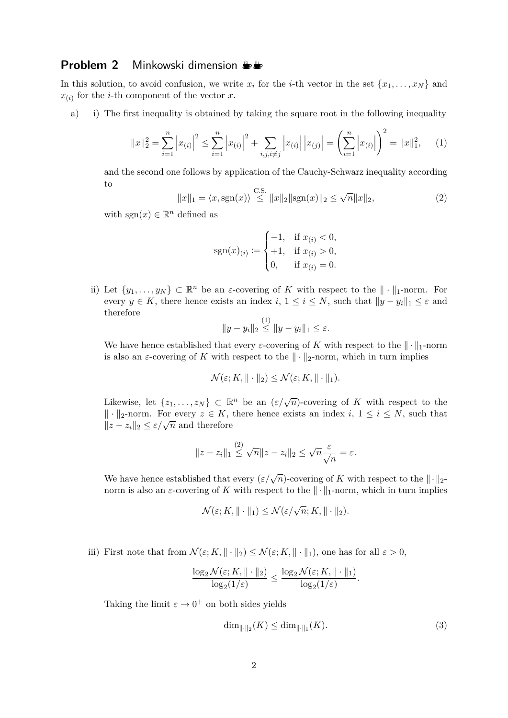#### **Problem 2** Minkowski dimension  $\frac{1}{2}$

In this solution, to avoid confusion, we write  $x_i$  for the *i*-th vector in the set  $\{x_1, \ldots, x_N\}$  and  $x_{(i)}$  for the *i*-th component of the vector *x*.

a) i) The first inequality is obtained by taking the square root in the following inequality

$$
||x||_2^2 = \sum_{i=1}^n |x_{(i)}|^2 \le \sum_{i=1}^n |x_{(i)}|^2 + \sum_{i,j,i \ne j} |x_{(i)}| |x_{(j)}| = \left(\sum_{i=1}^n |x_{(i)}|\right)^2 = ||x||_1^2, \quad (1)
$$

and the second one follows by application of the Cauchy-Schwarz inequality according to

$$
||x||_1 = \langle x, \text{sgn}(x) \rangle \overset{\text{C.S.}}{\leq} ||x||_2 ||\text{sgn}(x)||_2 \leq \sqrt{n} ||x||_2,
$$
 (2)

with  $sgn(x) \in \mathbb{R}^n$  defined as

$$
sgn(x)_{(i)} := \begin{cases} -1, & \text{if } x_{(i)} < 0, \\ +1, & \text{if } x_{(i)} > 0, \\ 0, & \text{if } x_{(i)} = 0. \end{cases}
$$

ii) Let  $\{y_1, \ldots, y_N\} \subset \mathbb{R}^n$  be an *ε*-covering of *K* with respect to the  $\|\cdot\|_1$ -norm. For every  $y \in K$ , there hence exists an index  $i, 1 \leq i \leq N$ , such that  $||y - y_i||_1 \leq \varepsilon$  and therefore

$$
||y - y_i||_2 \le ||y - y_i||_1 \le \varepsilon.
$$

We have hence established that every  $\varepsilon$ -covering of *K* with respect to the  $\|\cdot\|_1$ -norm is also an  $\varepsilon$ -covering of *K* with respect to the  $\|\cdot\|_2$ -norm, which in turn implies

$$
\mathcal{N}(\varepsilon; K, \|\cdot\|_2) \leq \mathcal{N}(\varepsilon; K, \|\cdot\|_1).
$$

Likewise, let  $\{z_1, \ldots, z_N\} \subset \mathbb{R}^n$  be an  $(\varepsilon/\sqrt{n})$ -covering of *K* with respect to the  $\| \cdot \|_2$ -norm. For every *z* ∈ *K*, there hence exists an index *i*, 1 ≤ *i* ≤ *N*, such that *l*<sub>1</sub>  $\cdot$  *l*<sub>2</sub>-*n*<sub>0</sub>*m*. For every  $z \in K$ ,<br>*l*<sub>2</sub> − *z*<sub>*i*</sub> $\mid$ <sub>2</sub> ≤ *ε*/ $\sqrt{n}$  and therefore

$$
||z - z_i||_1 \overset{(2)}{\leq} \sqrt{n} ||z - z_i||_2 \leq \sqrt{n} \frac{\varepsilon}{\sqrt{n}} = \varepsilon.
$$

We have hence established that every  $(\varepsilon/\sqrt{n})$ -covering of *K* with respect to the  $\|\cdot\|_2$ norm is also an  $\varepsilon$ -covering of K with respect to the  $\|\cdot\|_1$ -norm, which in turn implies

$$
\mathcal{N}(\varepsilon; K, \|\cdot\|_1) \leq \mathcal{N}(\varepsilon/\sqrt{n}; K, \|\cdot\|_2).
$$

iii) First note that from  $\mathcal{N}(\varepsilon; K, \|\cdot\|_2) \leq \mathcal{N}(\varepsilon; K, \|\cdot\|_1)$ , one has for all  $\varepsilon > 0$ ,

$$
\frac{\log_2 \mathcal{N}(\varepsilon; K, \|\cdot\|_2)}{\log_2(1/\varepsilon)} \le \frac{\log_2 \mathcal{N}(\varepsilon; K, \|\cdot\|_1)}{\log_2(1/\varepsilon)}.
$$

Taking the limit  $\varepsilon \to 0^+$  on both sides yields

$$
\dim_{\|\cdot\|_2}(K) \le \dim_{\|\cdot\|_1}(K). \tag{3}
$$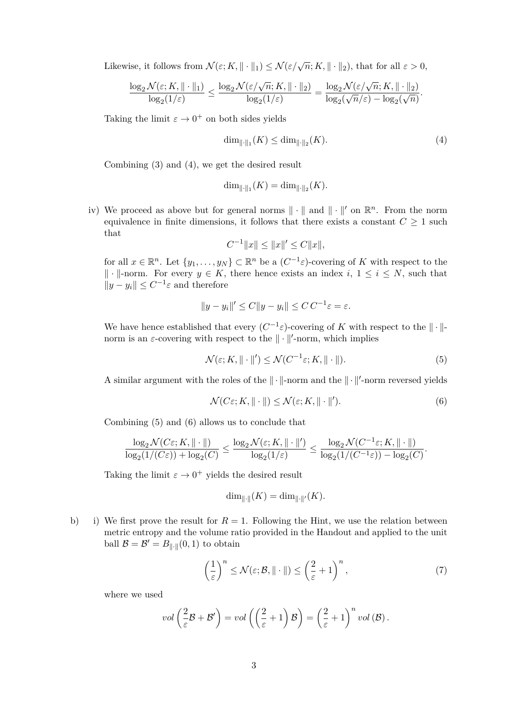Likewise, it follows from  $\mathcal{N}(\varepsilon; K, \|\cdot\|_1) \leq \mathcal{N}(\varepsilon/\sqrt{n}; K, \|\cdot\|_2)$ , that for all  $\varepsilon > 0$ ,

$$
\frac{\log_2 \mathcal{N}(\varepsilon; K, \|\cdot\|_1)}{\log_2(1/\varepsilon)} \le \frac{\log_2 \mathcal{N}(\varepsilon/\sqrt{n}; K, \|\cdot\|_2)}{\log_2(1/\varepsilon)} = \frac{\log_2 \mathcal{N}(\varepsilon/\sqrt{n}; K, \|\cdot\|_2)}{\log_2(\sqrt{n}/\varepsilon) - \log_2(\sqrt{n})}.
$$

Taking the limit  $\varepsilon \to 0^+$  on both sides yields

$$
\dim_{\|\cdot\|_1}(K) \le \dim_{\|\cdot\|_2}(K). \tag{4}
$$

Combining (3) and (4), we get the desired result

$$
\dim_{\|\cdot\|_1}(K) = \dim_{\|\cdot\|_2}(K).
$$

iv) We proceed as above but for general norms  $\|\cdot\|$  and  $\|\cdot\|'$  on  $\mathbb{R}^n$ . From the norm equivalence in finite dimensions, it follows that there exists a constant  $C \geq 1$  such that

$$
C^{-1}||x|| \le ||x||' \le C||x||,
$$

for all  $x \in \mathbb{R}^n$ . Let  $\{y_1, \ldots, y_N\} \subset \mathbb{R}^n$  be a  $(C^{-1} \varepsilon)$ -covering of *K* with respect to the  $\| \cdot \|$ -norm. For every *y* ∈ *K*, there hence exists an index *i*, 1 ≤ *i* ≤ *N*, such that  $||y - y_i|| \leq C^{-1} \varepsilon$  and therefore

$$
||y - y_i||' \le C||y - y_i|| \le C C^{-1} \varepsilon = \varepsilon.
$$

We have hence established that every  $(C^{-1} \varepsilon)$ -covering of *K* with respect to the  $\|\cdot\|$ norm is an  $\varepsilon$ -covering with respect to the  $\|\cdot\|'$ -norm, which implies

$$
\mathcal{N}(\varepsilon; K, \|\cdot\|') \le \mathcal{N}(C^{-1}\varepsilon; K, \|\cdot\|). \tag{5}
$$

A similar argument with the roles of the  $\|\cdot\|$ -norm and the  $\|\cdot\|'$ -norm reversed yields

$$
\mathcal{N}(C\varepsilon; K, \|\cdot\|) \le \mathcal{N}(\varepsilon; K, \|\cdot\|'). \tag{6}
$$

Combining (5) and (6) allows us to conclude that

$$
\frac{\log_2\mathcal{N}(C\varepsilon;K,\|\cdot\|)}{\log_2(1/(C\varepsilon))+\log_2(C)}\leq \frac{\log_2\mathcal{N}(\varepsilon;K,\|\cdot\|')}{\log_2(1/\varepsilon)}\leq \frac{\log_2\mathcal{N}(C^{-1}\varepsilon;K,\|\cdot\|)}{\log_2(1/(C^{-1}\varepsilon))-\log_2(C)}.
$$

Taking the limit  $\varepsilon \to 0^+$  yields the desired result

$$
\dim_{\|\cdot\|}(K) = \dim_{\|\cdot\|'}(K).
$$

b) i) We first prove the result for  $R = 1$ . Following the Hint, we use the relation between metric entropy and the volume ratio provided in the Handout and applied to the unit ball  $\mathcal{B} = \mathcal{B}' = B_{\|\cdot\|}(0,1)$  to obtain

$$
\left(\frac{1}{\varepsilon}\right)^n \le \mathcal{N}(\varepsilon; \mathcal{B}, \| \cdot \|) \le \left(\frac{2}{\varepsilon} + 1\right)^n,\tag{7}
$$

where we used

$$
vol\left(\frac{2}{\varepsilon}\mathcal{B}+\mathcal{B}'\right)=vol\left(\left(\frac{2}{\varepsilon}+1\right)\mathcal{B}\right)=\left(\frac{2}{\varepsilon}+1\right)^{n}vol\left(\mathcal{B}\right).
$$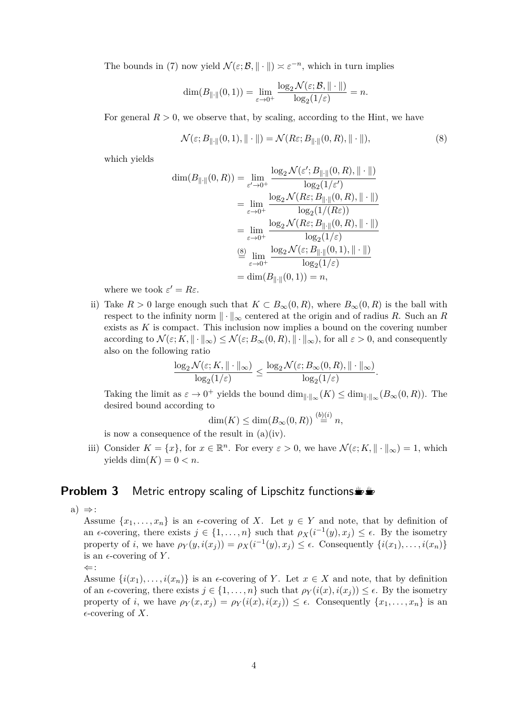The bounds in (7) now yield  $\mathcal{N}(\varepsilon;\mathcal{B},\|\cdot\|) \asymp \varepsilon^{-n}$ , which in turn implies

$$
\dim(B_{\|\cdot\|}(0,1)) = \lim_{\varepsilon \to 0^+} \frac{\log_2 \mathcal{N}(\varepsilon; \mathcal{B}, \|\cdot\|)}{\log_2(1/\varepsilon)} = n.
$$

For general  $R > 0$ , we observe that, by scaling, according to the Hint, we have

$$
\mathcal{N}(\varepsilon; B_{\|\cdot\|}(0,1), \|\cdot\|) = \mathcal{N}(R\varepsilon; B_{\|\cdot\|}(0,R), \|\cdot\|),\tag{8}
$$

which yields

$$
\dim(B_{\|\cdot\|}(0,R)) = \lim_{\varepsilon \to 0^+} \frac{\log_2 \mathcal{N}(\varepsilon'; B_{\|\cdot\|}(0,R), \|\cdot\|)}{\log_2(1/\varepsilon')}
$$

$$
= \lim_{\varepsilon \to 0^+} \frac{\log_2 \mathcal{N}(R\varepsilon; B_{\|\cdot\|}(0,R), \|\cdot\|)}{\log_2(1/(R\varepsilon))}
$$

$$
= \lim_{\varepsilon \to 0^+} \frac{\log_2 \mathcal{N}(R\varepsilon; B_{\|\cdot\|}(0,R), \|\cdot\|)}{\log_2(1/\varepsilon)}
$$

$$
\stackrel{\text{(8)}}{=} \lim_{\varepsilon \to 0^+} \frac{\log_2 \mathcal{N}(\varepsilon; B_{\|\cdot\|}(0,1), \|\cdot\|)}{\log_2(1/\varepsilon)}
$$

$$
= \dim(B_{\|\cdot\|}(0,1)) = n,
$$

where we took  $\varepsilon' = R\varepsilon$ .

ii) Take  $R > 0$  large enough such that  $K \subset B_{\infty}(0, R)$ , where  $B_{\infty}(0, R)$  is the ball with respect to the infinity norm  $\|\cdot\|_{\infty}$  centered at the origin and of radius *R*. Such an *R* exists as *K* is compact. This inclusion now implies a bound on the covering number according to  $\mathcal{N}(\varepsilon; K, \|\cdot\|_{\infty}) \leq \mathcal{N}(\varepsilon; B_{\infty}(0, R), \|\cdot\|_{\infty})$ , for all  $\varepsilon > 0$ , and consequently also on the following ratio

$$
\frac{\log_2 \mathcal{N}(\varepsilon; K, \|\cdot\|_{\infty})}{\log_2(1/\varepsilon)} \le \frac{\log_2 \mathcal{N}(\varepsilon; B_{\infty}(0, R), \|\cdot\|_{\infty})}{\log_2(1/\varepsilon)}.
$$

Taking the limit as  $\varepsilon \to 0^+$  yields the bound  $\dim_{\|\cdot\|_{\infty}}(K) \leq \dim_{\|\cdot\|_{\infty}}(B_{\infty}(0,R)).$  The desired bound according to

$$
\dim(K) \le \dim(B_{\infty}(0,R)) \stackrel{(b)(i)}{=} n,
$$

is now a consequence of the result in  $(a)(iv)$ .

iii) Consider  $K = \{x\}$ , for  $x \in \mathbb{R}^n$ . For every  $\varepsilon > 0$ , we have  $\mathcal{N}(\varepsilon; K, \|\cdot\|_{\infty}) = 1$ , which yields dim $(K) = 0 < n$ .

#### **Problem 3** Metric entropy scaling of Lipschitz functions

a)  $\Rightarrow$ :

Assume  $\{x_1, \ldots, x_n\}$  is an  $\epsilon$ -covering of *X*. Let  $y \in Y$  and note, that by definition of an  $\epsilon$ -covering, there exists  $j \in \{1, \ldots, n\}$  such that  $\rho_X(i^{-1}(y), x_j) \leq \epsilon$ . By the isometry property of *i*, we have  $\rho_Y(y, i(x_j)) = \rho_X(i^{-1}(y), x_j) \le \epsilon$ . Consequently  $\{i(x_1), \ldots, i(x_n)\}$ is an  $\epsilon$ -covering of Y.

⇐:

Assume  $\{i(x_1), \ldots, i(x_n)\}\$ is an  $\epsilon$ -covering of *Y*. Let  $x \in X$  and note, that by definition of an  $\epsilon$ -covering, there exists  $j \in \{1, ..., n\}$  such that  $\rho_Y(i(x), i(x_i)) \leq \epsilon$ . By the isometry property of *i*, we have  $\rho_Y(x, x_j) = \rho_Y(i(x), i(x_j)) \leq \epsilon$ . Consequently  $\{x_1, \ldots, x_n\}$  is an  $\epsilon$ -covering of X.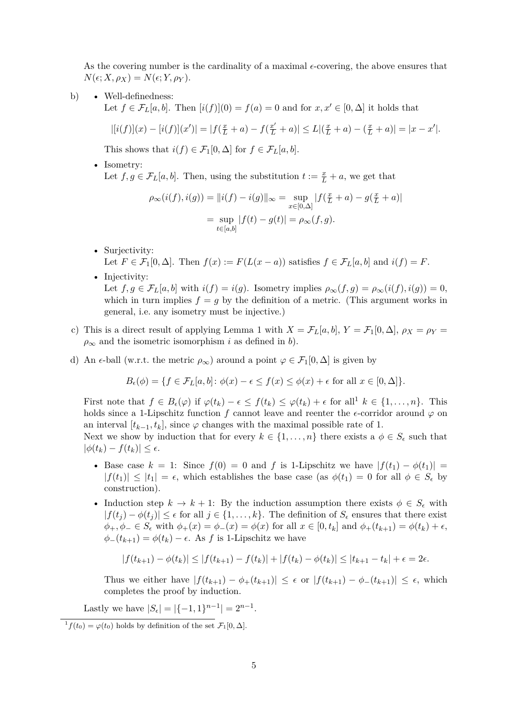As the covering number is the cardinality of a maximal  $\epsilon$ -covering, the above ensures that  $N(\epsilon; X, \rho_X) = N(\epsilon; Y, \rho_Y).$ 

b) • Well-definedness:

Let  $f \in \mathcal{F}_L[a, b]$ . Then  $[i(f)](0) = f(a) = 0$  and for  $x, x' \in [0, \Delta]$  it holds that

$$
|[i(f)](x) - [i(f)](x')| = |f(\frac{x}{L} + a) - f(\frac{x'}{L} + a)| \le L |(\frac{x}{L} + a) - (\frac{x}{L} + a)| = |x - x'|.
$$

This shows that  $i(f) \in \mathcal{F}_1[0,\Delta]$  for  $f \in \mathcal{F}_L[a,b]$ .

• Isometry: Let  $f, g \in \mathcal{F}_L[a, b]$ . Then, using the substitution  $t := \frac{x}{L} + a$ , we get that

$$
\rho_{\infty}(i(f), i(g)) = ||i(f) - i(g)||_{\infty} = \sup_{x \in [0, \Delta]} |f(\frac{x}{L} + a) - g(\frac{x}{L} + a)|
$$

$$
= \sup_{t \in [a, b]} |f(t) - g(t)| = \rho_{\infty}(f, g).
$$

- Surjectivity: Let  $F \in \mathcal{F}_1[0,\Delta]$ . Then  $f(x) := F(L(x-a))$  satisfies  $f \in \mathcal{F}_L[a,b]$  and  $i(f) = F$ .
- Injectivity: Let  $f, g \in \mathcal{F}_L[a, b]$  with  $i(f) = i(g)$ . Isometry implies  $\rho_\infty(f, g) = \rho_\infty(i(f), i(g)) = 0$ , which in turn implies  $f = g$  by the definition of a metric. (This argument works in general, i.e. any isometry must be injective.)
- c) This is a direct result of applying Lemma 1 with  $X = \mathcal{F}_L[a, b], Y = \mathcal{F}_1[0, \Delta], \rho_X = \rho_Y =$  $\rho_{\infty}$  and the isometric isomorphism *i* as defined in *b*).
- d) An  $\epsilon$ -ball (w.r.t. the metric  $\rho_{\infty}$ ) around a point  $\varphi \in \mathcal{F}_1[0,\Delta]$  is given by

$$
B_{\epsilon}(\phi) = \{ f \in \mathcal{F}_L[a, b] \colon \phi(x) - \epsilon \le f(x) \le \phi(x) + \epsilon \text{ for all } x \in [0, \Delta] \}.
$$

First note that  $f \in B_{\epsilon}(\varphi)$  if  $\varphi(t_k) - \epsilon \leq f(t_k) \leq \varphi(t_k) + \epsilon$  for all  $k \in \{1, \ldots, n\}$ . This holds since a 1-Lipschitz function f cannot leave and reenter the  $\epsilon$ -corridor around  $\varphi$  on an interval  $[t_{k-1}, t_k]$ , since  $\varphi$  changes with the maximal possible rate of 1.

Next we show by induction that for every  $k \in \{1, ..., n\}$  there exists a  $\phi \in S_{\epsilon}$  such that  $|\phi(t_k) - f(t_k)| \leq \epsilon.$ 

- Base case  $k = 1$ : Since  $f(0) = 0$  and f is 1-Lipschitz we have  $|f(t_1) \phi(t_1)| =$  $|f(t_1)| \leq |t_1| = \epsilon$ , which establishes the base case (as  $\phi(t_1) = 0$  for all  $\phi \in S_{\epsilon}$  by construction).
- Induction step  $k \to k+1$ : By the induction assumption there exists  $\phi \in S_{\epsilon}$  with  $|f(t_j) - \phi(t_j)| \leq \epsilon$  for all  $j \in \{1, ..., k\}$ . The definition of  $S_{\epsilon}$  ensures that there exist  $\phi_{+}, \phi_{-} \in S_{\epsilon}$  with  $\phi_{+}(x) = \phi_{-}(x) = \phi(x)$  for all  $x \in [0, t_{k}]$  and  $\phi_{+}(t_{k+1}) = \phi(t_{k}) + \epsilon$ ,  $\phi_-(t_{k+1}) = \phi(t_k) - \epsilon$ . As *f* is 1-Lipschitz we have

$$
|f(t_{k+1}) - \phi(t_k)| \le |f(t_{k+1}) - f(t_k)| + |f(t_k) - \phi(t_k)| \le |t_{k+1} - t_k| + \epsilon = 2\epsilon.
$$

Thus we either have  $|f(t_{k+1}) - \phi_+(t_{k+1})| \leq \epsilon$  or  $|f(t_{k+1}) - \phi_-(t_{k+1})| \leq \epsilon$ , which completes the proof by induction.

Lastly we have  $|S_{\epsilon}| = |\{-1, 1\}^{n-1}| = 2^{n-1}$ .

<sup>1</sup> $f(t_0) = \varphi(t_0)$  holds by definition of the set  $\mathcal{F}_1[0,\Delta]$ .